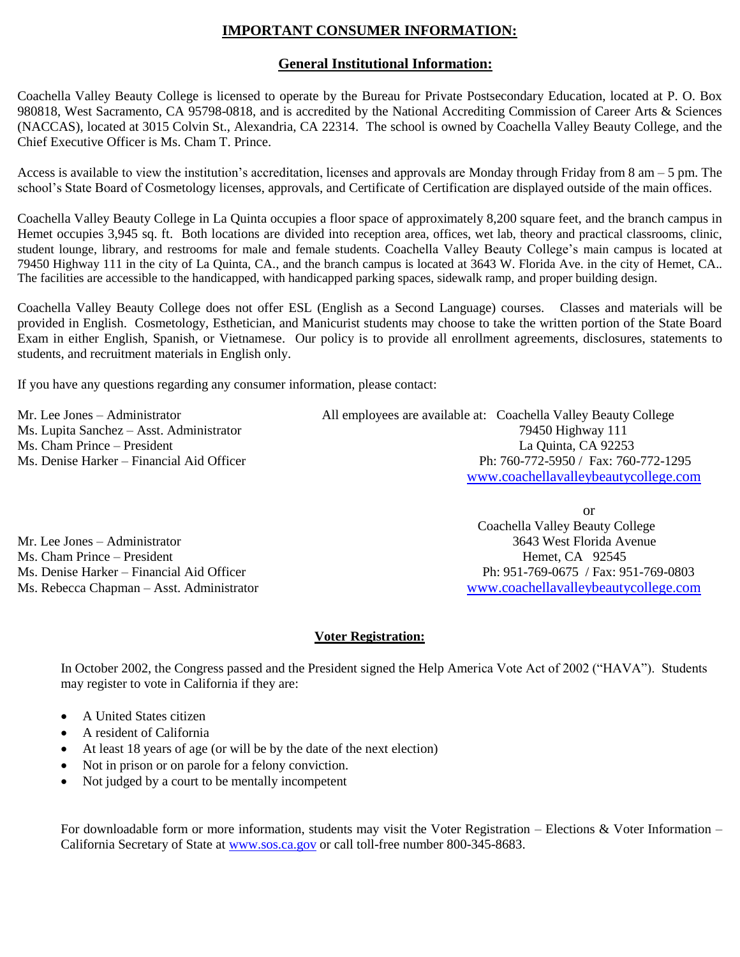# **IMPORTANT CONSUMER INFORMATION:**

#### **General Institutional Information:**

Coachella Valley Beauty College is licensed to operate by the Bureau for Private Postsecondary Education, located at P. O. Box 980818, West Sacramento, CA 95798-0818, and is accredited by the National Accrediting Commission of Career Arts & Sciences (NACCAS), located at 3015 Colvin St., Alexandria, CA 22314. The school is owned by Coachella Valley Beauty College, and the Chief Executive Officer is Ms. Cham T. Prince.

Access is available to view the institution's accreditation, licenses and approvals are Monday through Friday from 8 am – 5 pm. The school's State Board of Cosmetology licenses, approvals, and Certificate of Certification are displayed outside of the main offices.

Coachella Valley Beauty College in La Quinta occupies a floor space of approximately 8,200 square feet, and the branch campus in Hemet occupies 3,945 sq. ft. Both locations are divided into reception area, offices, wet lab, theory and practical classrooms, clinic, student lounge, library, and restrooms for male and female students. Coachella Valley Beauty College's main campus is located at 79450 Highway 111 in the city of La Quinta, CA., and the branch campus is located at 3643 W. Florida Ave. in the city of Hemet, CA.. The facilities are accessible to the handicapped, with handicapped parking spaces, sidewalk ramp, and proper building design.

Coachella Valley Beauty College does not offer ESL (English as a Second Language) courses. Classes and materials will be provided in English. Cosmetology, Esthetician, and Manicurist students may choose to take the written portion of the State Board Exam in either English, Spanish, or Vietnamese. Our policy is to provide all enrollment agreements, disclosures, statements to students, and recruitment materials in English only.

If you have any questions regarding any consumer information, please contact:

Ms. Denise Harker – Financial Aid Officer

Mr. Lee Jones – Administrator All employees are available at: Coachella Valley Beauty College Ms. Lupita Sanchez – Asst. Administrator 79450 Highway 111 Ms. Cham Prince – President La Quinta, CA 92253<br>
Ms. Denise Harker – Financial Aid Officer Prince – President Ph: 760-772-5950 / Fax: 760-772-1295 [www.coachellavalleybeautycollege.com](http://www.coachellavalleybeautycollege.com/)

Mr. Lee Jones – Administrator 3643 West Florida Avenue Ms. Cham Prince – President Hemet, CA 92545 Ms. Denise Harker – Financial Aid Officer Ph: 951-769-0675 / Fax: 951-769-0803

or Coachella Valley Beauty College Ms. Rebecca Chapman – Asst. Administrator [www.coachellavalleybeautycollege.com](http://www.coachellavalleybeautycollege.com/)

#### **Voter Registration:**

In October 2002, the Congress passed and the President signed the Help America Vote Act of 2002 ("HAVA"). Students may register to vote in California if they are:

- A United States citizen
- A resident of California
- At least 18 years of age (or will be by the date of the next election)
- Not in prison or on parole for a felony conviction.
- Not judged by a court to be mentally incompetent

For downloadable form or more information, students may visit the Voter Registration – Elections & Voter Information – California Secretary of State at [www.sos.ca.gov](http://www.sos.ca.gov/) or call toll-free number 800-345-8683.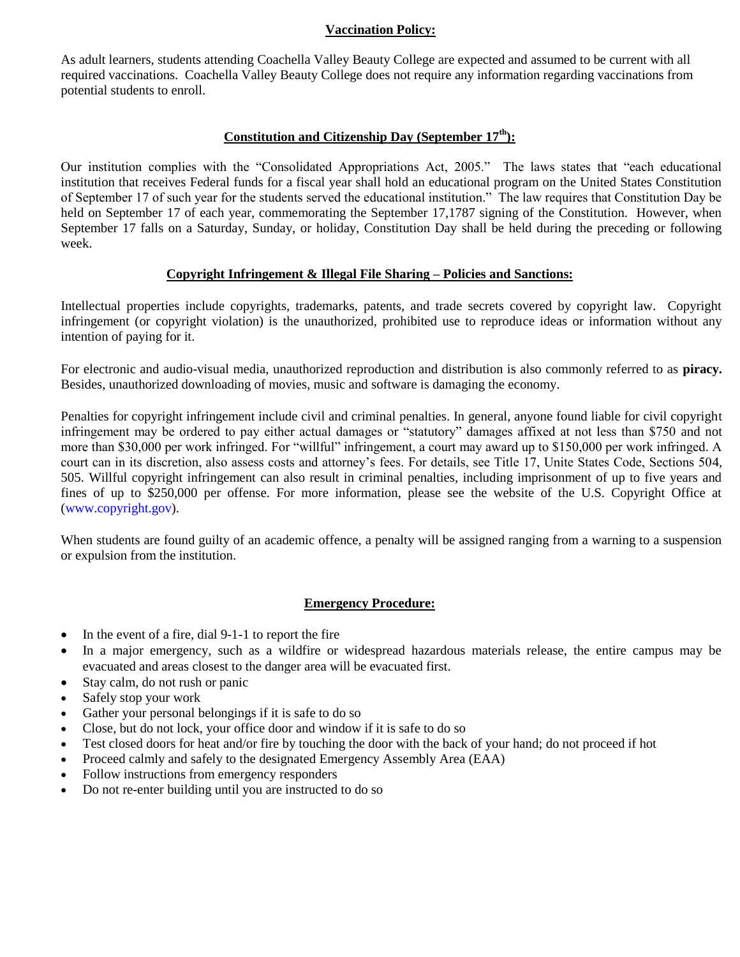#### **Vaccination Policy:**

As adult learners, students attending Coachella Valley Beauty College are expected and assumed to be current with all required vaccinations. Coachella Valley Beauty College does not require any information regarding vaccinations from potential students to enroll.

#### **Constitution and Citizenship Day (September 17th):**

Our institution complies with the "Consolidated Appropriations Act, 2005." The laws states that "each educational institution that receives Federal funds for a fiscal year shall hold an educational program on the United States Constitution of September 17 of such year for the students served the educational institution." The law requires that Constitution Day be held on September 17 of each year, commemorating the September 17,1787 signing of the Constitution. However, when September 17 falls on a Saturday, Sunday, or holiday, Constitution Day shall be held during the preceding or following week.

#### **Copyright Infringement & Illegal File Sharing – Policies and Sanctions:**

Intellectual properties include copyrights, trademarks, patents, and trade secrets covered by copyright law. Copyright infringement (or copyright violation) is the unauthorized, prohibited use to reproduce ideas or information without any intention of paying for it.

For electronic and audio-visual media, unauthorized reproduction and distribution is also commonly referred to as **piracy.**  Besides, unauthorized downloading of movies, music and software is damaging the economy.

Penalties for copyright infringement include civil and criminal penalties. In general, anyone found liable for civil copyright infringement may be ordered to pay either actual damages or "statutory" damages affixed at not less than \$750 and not more than \$30,000 per work infringed. For "willful" infringement, a court may award up to \$150,000 per work infringed. A court can in its discretion, also assess costs and attorney's fees. For details, see Title 17, Unite States Code, Sections 504, 505. Willful copyright infringement can also result in criminal penalties, including imprisonment of up to five years and fines of up to \$250,000 per offense. For more information, please see the website of the U.S. Copyright Office at (www.copyright.gov).

When students are found guilty of an academic offence, a penalty will be assigned ranging from a warning to a suspension or expulsion from the institution.

#### **Emergency Procedure:**

- In the event of a fire, dial 9-1-1 to report the fire
- In a major emergency, such as a wildfire or widespread hazardous materials release, the entire campus may be evacuated and areas closest to the danger area will be evacuated first.
- Stay calm, do not rush or panic
- Safely stop your work
- Gather your personal belongings if it is safe to do so
- Close, but do not lock, your office door and window if it is safe to do so
- Test closed doors for heat and/or fire by touching the door with the back of your hand; do not proceed if hot
- Proceed calmly and safely to the designated Emergency Assembly Area (EAA)
- Follow instructions from emergency responders
- Do not re-enter building until you are instructed to do so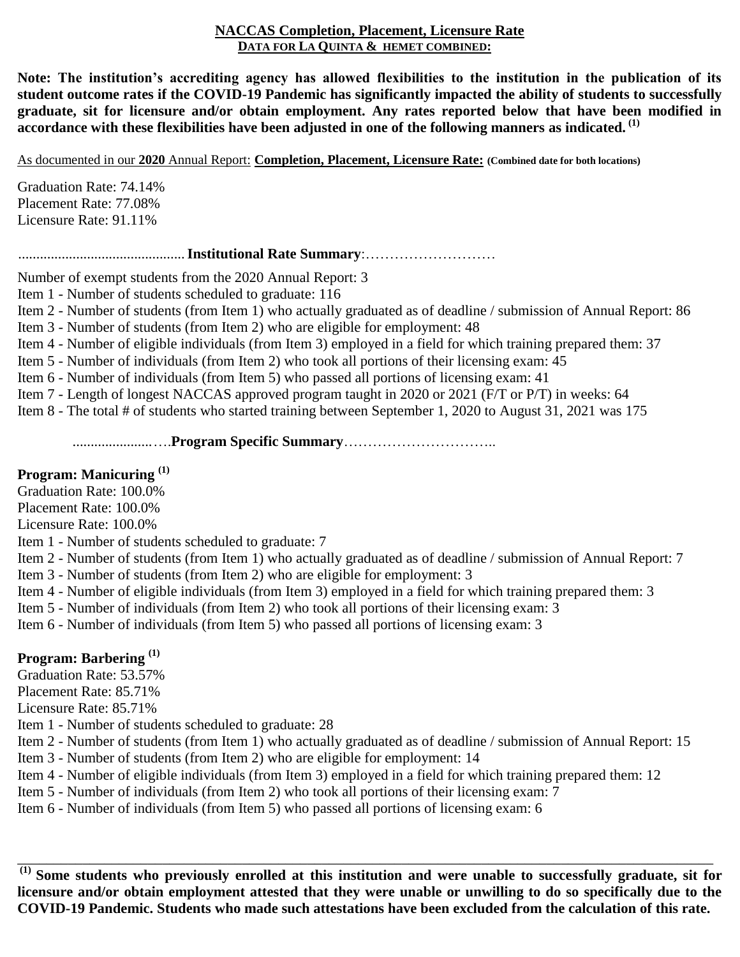### **NACCAS Completion, Placement, Licensure Rate DATA FOR LA QUINTA & HEMET COMBINED:**

**Note: The institution's accrediting agency has allowed flexibilities to the institution in the publication of its student outcome rates if the COVID-19 Pandemic has significantly impacted the ability of students to successfully graduate, sit for licensure and/or obtain employment. Any rates reported below that have been modified in accordance with these flexibilities have been adjusted in one of the following manners as indicated. (1)**

As documented in our **2020** Annual Report: **Completion, Placement, Licensure Rate: (Combined date for both locations)**

Graduation Rate: 74.14% Placement Rate: 77.08% Licensure Rate: 91.11%

..............................................**Institutional Rate Summary**:………………………

Number of exempt students from the 2020 Annual Report: 3

Item 1 - Number of students scheduled to graduate: 116

Item 2 - Number of students (from Item 1) who actually graduated as of deadline / submission of Annual Report: 86

Item 3 - Number of students (from Item 2) who are eligible for employment: 48

Item 4 - Number of eligible individuals (from Item 3) employed in a field for which training prepared them: 37

Item 5 - Number of individuals (from Item 2) who took all portions of their licensing exam: 45

Item 6 - Number of individuals (from Item 5) who passed all portions of licensing exam: 41

Item 7 - Length of longest NACCAS approved program taught in 2020 or 2021 (F/T or P/T) in weeks: 64

Item 8 - The total # of students who started training between September 1, 2020 to August 31, 2021 was 175

......................….**Program Specific Summary**…………………………..

# **Program: Manicuring (1)**

Graduation Rate: 100.0%

Placement Rate: 100.0%

Licensure Rate: 100.0%

Item 1 - Number of students scheduled to graduate: 7

Item 2 - Number of students (from Item 1) who actually graduated as of deadline / submission of Annual Report: 7

Item 3 - Number of students (from Item 2) who are eligible for employment: 3

Item 4 - Number of eligible individuals (from Item 3) employed in a field for which training prepared them: 3

Item 5 - Number of individuals (from Item 2) who took all portions of their licensing exam: 3

Item 6 - Number of individuals (from Item 5) who passed all portions of licensing exam: 3

# **Program: Barbering (1)**

Graduation Rate: 53.57%

Placement Rate: 85.71%

Licensure Rate: 85.71%

Item 1 - Number of students scheduled to graduate: 28

Item 2 - Number of students (from Item 1) who actually graduated as of deadline / submission of Annual Report: 15

Item 3 - Number of students (from Item 2) who are eligible for employment: 14

Item 4 - Number of eligible individuals (from Item 3) employed in a field for which training prepared them: 12

Item 5 - Number of individuals (from Item 2) who took all portions of their licensing exam: 7

Item 6 - Number of individuals (from Item 5) who passed all portions of licensing exam: 6

**(1) Some students who previously enrolled at this institution and were unable to successfully graduate, sit for licensure and/or obtain employment attested that they were unable or unwilling to do so specifically due to the COVID-19 Pandemic. Students who made such attestations have been excluded from the calculation of this rate.**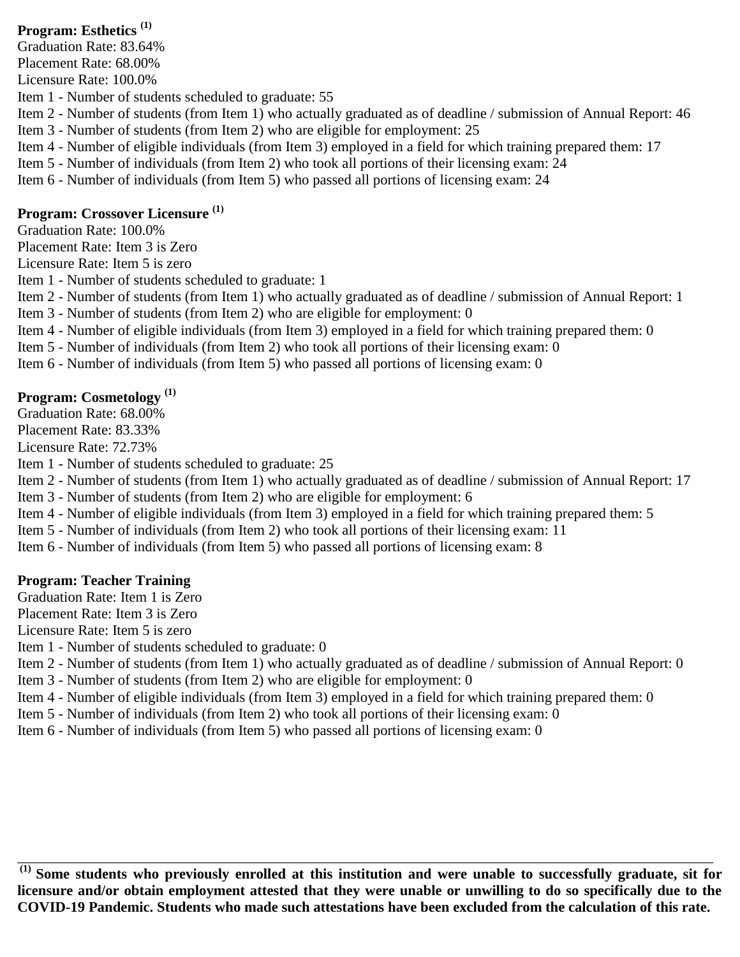# **Program: Esthetics (1)**

Graduation Rate: 83.64% Placement Rate: 68.00% Licensure Rate: 100.0% Item 1 - Number of students scheduled to graduate: 55 Item 2 - Number of students (from Item 1) who actually graduated as of deadline / submission of Annual Report: 46 Item 3 - Number of students (from Item 2) who are eligible for employment: 25 Item 4 - Number of eligible individuals (from Item 3) employed in a field for which training prepared them: 17 Item 5 - Number of individuals (from Item 2) who took all portions of their licensing exam: 24 Item 6 - Number of individuals (from Item 5) who passed all portions of licensing exam: 24

# **Program: Crossover Licensure (1)**

Graduation Rate: 100.0%

Placement Rate: Item 3 is Zero

Licensure Rate: Item 5 is zero

Item 1 - Number of students scheduled to graduate: 1

Item 2 - Number of students (from Item 1) who actually graduated as of deadline / submission of Annual Report: 1

Item 3 - Number of students (from Item 2) who are eligible for employment: 0

Item 4 - Number of eligible individuals (from Item 3) employed in a field for which training prepared them: 0

Item 5 - Number of individuals (from Item 2) who took all portions of their licensing exam: 0

Item 6 - Number of individuals (from Item 5) who passed all portions of licensing exam: 0

# **Program: Cosmetology (1)**

Graduation Rate: 68.00% Placement Rate: 83.33%

Licensure Rate: 72.73%

Item 1 - Number of students scheduled to graduate: 25

Item 2 - Number of students (from Item 1) who actually graduated as of deadline / submission of Annual Report: 17

Item 3 - Number of students (from Item 2) who are eligible for employment: 6

Item 4 - Number of eligible individuals (from Item 3) employed in a field for which training prepared them: 5

Item 5 - Number of individuals (from Item 2) who took all portions of their licensing exam: 11

Item 6 - Number of individuals (from Item 5) who passed all portions of licensing exam: 8

# **Program: Teacher Training**

Graduation Rate: Item 1 is Zero

Placement Rate: Item 3 is Zero

Licensure Rate: Item 5 is zero

Item 1 - Number of students scheduled to graduate: 0

Item 2 - Number of students (from Item 1) who actually graduated as of deadline / submission of Annual Report: 0

Item 3 - Number of students (from Item 2) who are eligible for employment: 0

Item 4 - Number of eligible individuals (from Item 3) employed in a field for which training prepared them: 0

Item 5 - Number of individuals (from Item 2) who took all portions of their licensing exam: 0

Item 6 - Number of individuals (from Item 5) who passed all portions of licensing exam: 0

**(1) Some students who previously enrolled at this institution and were unable to successfully graduate, sit for licensure and/or obtain employment attested that they were unable or unwilling to do so specifically due to the COVID-19 Pandemic. Students who made such attestations have been excluded from the calculation of this rate.**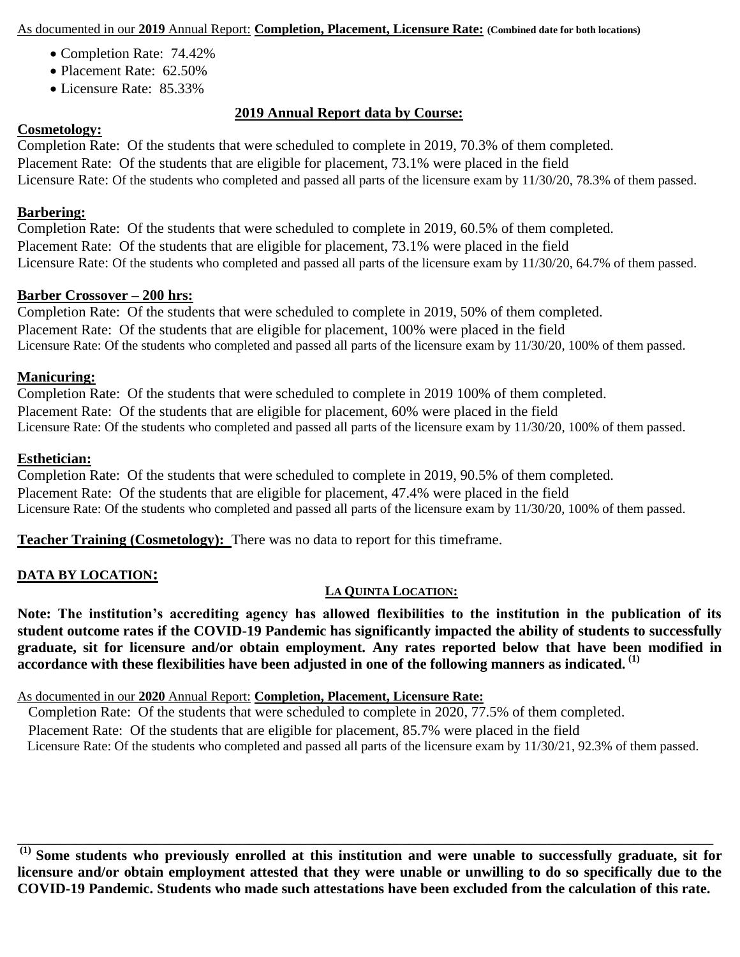As documented in our **2019** Annual Report: **Completion, Placement, Licensure Rate: (Combined date for both locations)**

- Completion Rate: 74.42%
- Placement Rate: 62.50%
- Licensure Rate: 85.33%

# **2019 Annual Report data by Course:**

### **Cosmetology:**

Completion Rate: Of the students that were scheduled to complete in 2019, 70.3% of them completed. Placement Rate: Of the students that are eligible for placement, 73.1% were placed in the field Licensure Rate: Of the students who completed and passed all parts of the licensure exam by 11/30/20, 78.3% of them passed.

### **Barbering:**

Completion Rate: Of the students that were scheduled to complete in 2019, 60.5% of them completed. Placement Rate: Of the students that are eligible for placement, 73.1% were placed in the field Licensure Rate: Of the students who completed and passed all parts of the licensure exam by 11/30/20, 64.7% of them passed.

### **Barber Crossover – 200 hrs:**

Completion Rate: Of the students that were scheduled to complete in 2019, 50% of them completed. Placement Rate: Of the students that are eligible for placement, 100% were placed in the field Licensure Rate: Of the students who completed and passed all parts of the licensure exam by 11/30/20, 100% of them passed.

### **Manicuring:**

Completion Rate: Of the students that were scheduled to complete in 2019 100% of them completed. Placement Rate: Of the students that are eligible for placement, 60% were placed in the field Licensure Rate: Of the students who completed and passed all parts of the licensure exam by 11/30/20, 100% of them passed.

### **Esthetician:**

Completion Rate: Of the students that were scheduled to complete in 2019, 90.5% of them completed. Placement Rate: Of the students that are eligible for placement, 47.4% were placed in the field Licensure Rate: Of the students who completed and passed all parts of the licensure exam by 11/30/20, 100% of them passed.

**Teacher Training (Cosmetology):** There was no data to report for this timeframe.

## **DATA BY LOCATION:**

## **LA QUINTA LOCATION:**

**Note: The institution's accrediting agency has allowed flexibilities to the institution in the publication of its student outcome rates if the COVID-19 Pandemic has significantly impacted the ability of students to successfully graduate, sit for licensure and/or obtain employment. Any rates reported below that have been modified in accordance with these flexibilities have been adjusted in one of the following manners as indicated. (1)**

As documented in our **2020** Annual Report: **Completion, Placement, Licensure Rate:**

 Completion Rate: Of the students that were scheduled to complete in 2020, 77.5% of them completed. Placement Rate: Of the students that are eligible for placement, 85.7% were placed in the field Licensure Rate: Of the students who completed and passed all parts of the licensure exam by 11/30/21, 92.3% of them passed.

**(1) Some students who previously enrolled at this institution and were unable to successfully graduate, sit for licensure and/or obtain employment attested that they were unable or unwilling to do so specifically due to the COVID-19 Pandemic. Students who made such attestations have been excluded from the calculation of this rate.**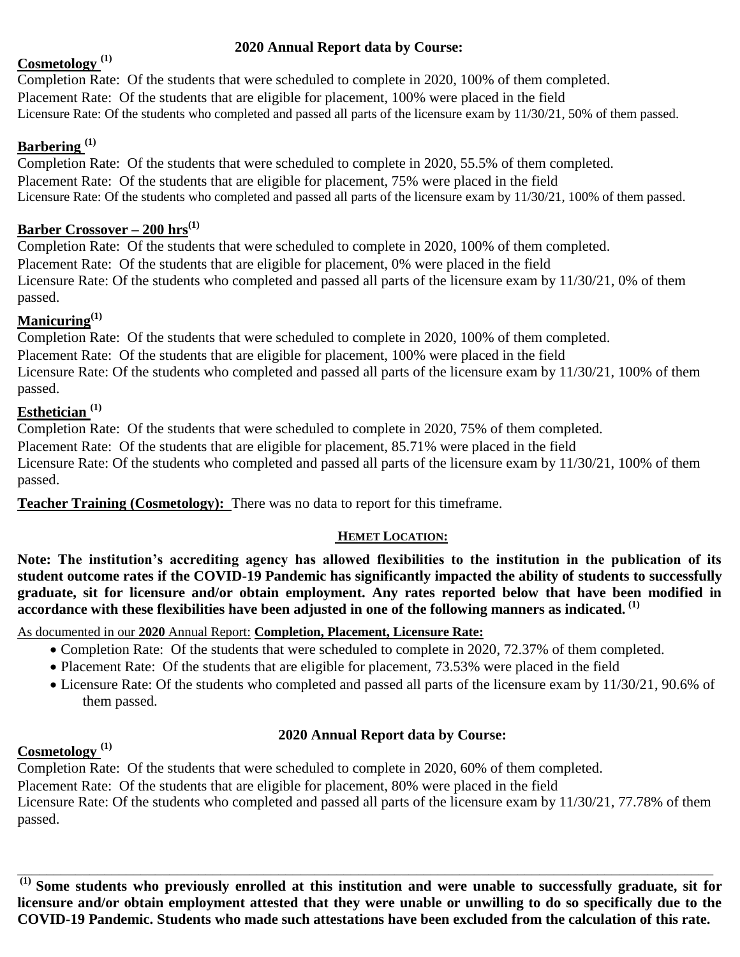# **2020 Annual Report data by Course:**

# **Cosmetology (1)**

# Completion Rate: Of the students that were scheduled to complete in 2020, 100% of them completed. Placement Rate: Of the students that are eligible for placement, 100% were placed in the field Licensure Rate: Of the students who completed and passed all parts of the licensure exam by 11/30/21, 50% of them passed.

# **Barbering (1)**

Completion Rate: Of the students that were scheduled to complete in 2020, 55.5% of them completed. Placement Rate: Of the students that are eligible for placement, 75% were placed in the field Licensure Rate: Of the students who completed and passed all parts of the licensure exam by 11/30/21, 100% of them passed.

# **Barber Crossover – 200 hrs(1)**

Completion Rate: Of the students that were scheduled to complete in 2020, 100% of them completed. Placement Rate: Of the students that are eligible for placement, 0% were placed in the field Licensure Rate: Of the students who completed and passed all parts of the licensure exam by 11/30/21, 0% of them passed.

# **Manicuring(1)**

Completion Rate: Of the students that were scheduled to complete in 2020, 100% of them completed. Placement Rate: Of the students that are eligible for placement, 100% were placed in the field Licensure Rate: Of the students who completed and passed all parts of the licensure exam by 11/30/21, 100% of them passed.

# **Esthetician (1)**

Completion Rate: Of the students that were scheduled to complete in 2020, 75% of them completed. Placement Rate: Of the students that are eligible for placement, 85.71% were placed in the field Licensure Rate: Of the students who completed and passed all parts of the licensure exam by 11/30/21, 100% of them passed.

**Teacher Training (Cosmetology):** There was no data to report for this timeframe.

## **HEMET LOCATION:**

**Note: The institution's accrediting agency has allowed flexibilities to the institution in the publication of its student outcome rates if the COVID-19 Pandemic has significantly impacted the ability of students to successfully graduate, sit for licensure and/or obtain employment. Any rates reported below that have been modified in accordance with these flexibilities have been adjusted in one of the following manners as indicated. (1)**

As documented in our **2020** Annual Report: **Completion, Placement, Licensure Rate:**

- Completion Rate: Of the students that were scheduled to complete in 2020, 72.37% of them completed.
- Placement Rate: Of the students that are eligible for placement, 73.53% were placed in the field
- Licensure Rate: Of the students who completed and passed all parts of the licensure exam by 11/30/21, 90.6% of them passed.

# **2020 Annual Report data by Course:**

# **Cosmetology (1)**

Completion Rate: Of the students that were scheduled to complete in 2020, 60% of them completed. Placement Rate: Of the students that are eligible for placement, 80% were placed in the field Licensure Rate: Of the students who completed and passed all parts of the licensure exam by 11/30/21, 77.78% of them passed.

**(1) Some students who previously enrolled at this institution and were unable to successfully graduate, sit for licensure and/or obtain employment attested that they were unable or unwilling to do so specifically due to the COVID-19 Pandemic. Students who made such attestations have been excluded from the calculation of this rate.**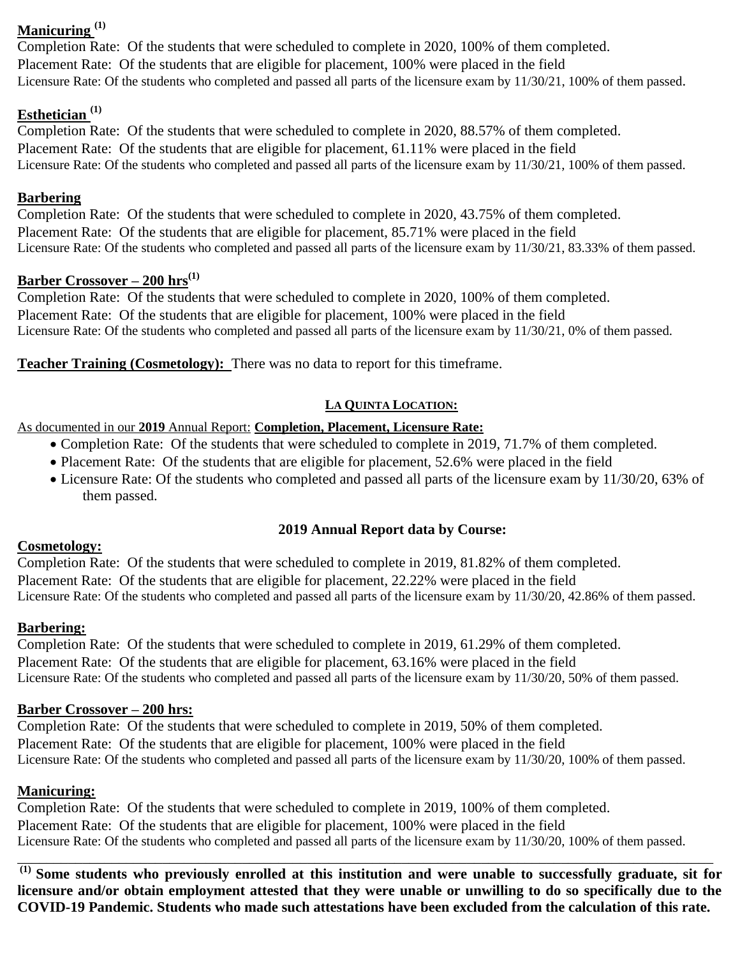# **Manicuring (1)**

Completion Rate: Of the students that were scheduled to complete in 2020, 100% of them completed. Placement Rate: Of the students that are eligible for placement, 100% were placed in the field Licensure Rate: Of the students who completed and passed all parts of the licensure exam by 11/30/21, 100% of them passed.

# **Esthetician (1)**

Completion Rate: Of the students that were scheduled to complete in 2020, 88.57% of them completed. Placement Rate: Of the students that are eligible for placement, 61.11% were placed in the field Licensure Rate: Of the students who completed and passed all parts of the licensure exam by 11/30/21, 100% of them passed.

## **Barbering**

Completion Rate: Of the students that were scheduled to complete in 2020, 43.75% of them completed. Placement Rate: Of the students that are eligible for placement, 85.71% were placed in the field Licensure Rate: Of the students who completed and passed all parts of the licensure exam by 11/30/21, 83.33% of them passed.

## **Barber Crossover – 200 hrs(1)**

Completion Rate: Of the students that were scheduled to complete in 2020, 100% of them completed. Placement Rate: Of the students that are eligible for placement, 100% were placed in the field Licensure Rate: Of the students who completed and passed all parts of the licensure exam by 11/30/21, 0% of them passed.

**Teacher Training (Cosmetology):** There was no data to report for this timeframe.

# **LA QUINTA LOCATION:**

## As documented in our **2019** Annual Report: **Completion, Placement, Licensure Rate:**

- Completion Rate: Of the students that were scheduled to complete in 2019, 71.7% of them completed.
- Placement Rate: Of the students that are eligible for placement, 52.6% were placed in the field
- Licensure Rate: Of the students who completed and passed all parts of the licensure exam by 11/30/20, 63% of them passed.

# **2019 Annual Report data by Course:**

## **Cosmetology:**

Completion Rate: Of the students that were scheduled to complete in 2019, 81.82% of them completed. Placement Rate: Of the students that are eligible for placement, 22.22% were placed in the field Licensure Rate: Of the students who completed and passed all parts of the licensure exam by 11/30/20, 42.86% of them passed.

# **Barbering:**

Completion Rate: Of the students that were scheduled to complete in 2019, 61.29% of them completed. Placement Rate: Of the students that are eligible for placement, 63.16% were placed in the field Licensure Rate: Of the students who completed and passed all parts of the licensure exam by 11/30/20, 50% of them passed.

## **Barber Crossover – 200 hrs:**

Completion Rate: Of the students that were scheduled to complete in 2019, 50% of them completed. Placement Rate: Of the students that are eligible for placement, 100% were placed in the field Licensure Rate: Of the students who completed and passed all parts of the licensure exam by 11/30/20, 100% of them passed.

# **Manicuring:**

Completion Rate: Of the students that were scheduled to complete in 2019, 100% of them completed. Placement Rate: Of the students that are eligible for placement, 100% were placed in the field Licensure Rate: Of the students who completed and passed all parts of the licensure exam by 11/30/20, 100% of them passed.

**(1) Some students who previously enrolled at this institution and were unable to successfully graduate, sit for licensure and/or obtain employment attested that they were unable or unwilling to do so specifically due to the COVID-19 Pandemic. Students who made such attestations have been excluded from the calculation of this rate.**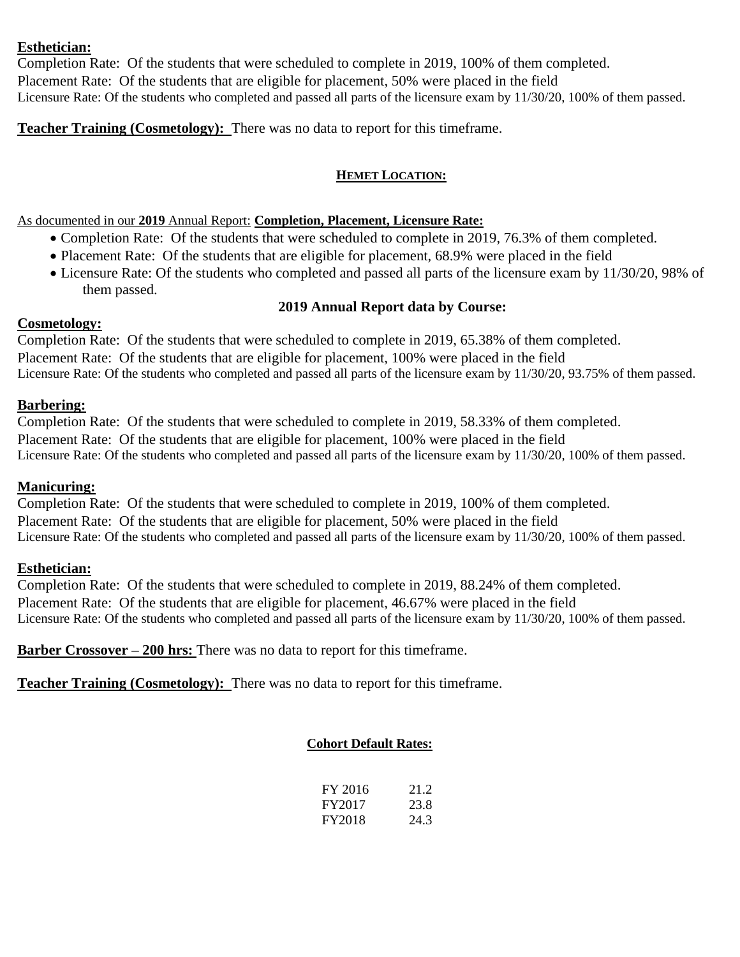### **Esthetician:**

Completion Rate: Of the students that were scheduled to complete in 2019, 100% of them completed. Placement Rate: Of the students that are eligible for placement, 50% were placed in the field Licensure Rate: Of the students who completed and passed all parts of the licensure exam by 11/30/20, 100% of them passed.

**Teacher Training (Cosmetology):** There was no data to report for this timeframe.

#### **HEMET LOCATION:**

As documented in our **2019** Annual Report: **Completion, Placement, Licensure Rate:**

- Completion Rate: Of the students that were scheduled to complete in 2019, 76.3% of them completed.
- Placement Rate: Of the students that are eligible for placement, 68.9% were placed in the field
- Licensure Rate: Of the students who completed and passed all parts of the licensure exam by 11/30/20, 98% of them passed.

#### **2019 Annual Report data by Course:**

### **Cosmetology:**

Completion Rate: Of the students that were scheduled to complete in 2019, 65.38% of them completed. Placement Rate: Of the students that are eligible for placement, 100% were placed in the field Licensure Rate: Of the students who completed and passed all parts of the licensure exam by 11/30/20, 93.75% of them passed.

## **Barbering:**

Completion Rate: Of the students that were scheduled to complete in 2019, 58.33% of them completed. Placement Rate: Of the students that are eligible for placement, 100% were placed in the field Licensure Rate: Of the students who completed and passed all parts of the licensure exam by 11/30/20, 100% of them passed.

## **Manicuring:**

Completion Rate: Of the students that were scheduled to complete in 2019, 100% of them completed. Placement Rate: Of the students that are eligible for placement, 50% were placed in the field Licensure Rate: Of the students who completed and passed all parts of the licensure exam by 11/30/20, 100% of them passed.

## **Esthetician:**

Completion Rate: Of the students that were scheduled to complete in 2019, 88.24% of them completed. Placement Rate: Of the students that are eligible for placement, 46.67% were placed in the field Licensure Rate: Of the students who completed and passed all parts of the licensure exam by 11/30/20, 100% of them passed.

**Barber Crossover – 200 hrs:** There was no data to report for this timeframe.

**Teacher Training (Cosmetology):** There was no data to report for this timeframe.

## **Cohort Default Rates:**

| FY 2016 | 21.2 |
|---------|------|
| FY2017  | 23.8 |
| FY2018  | 24.3 |